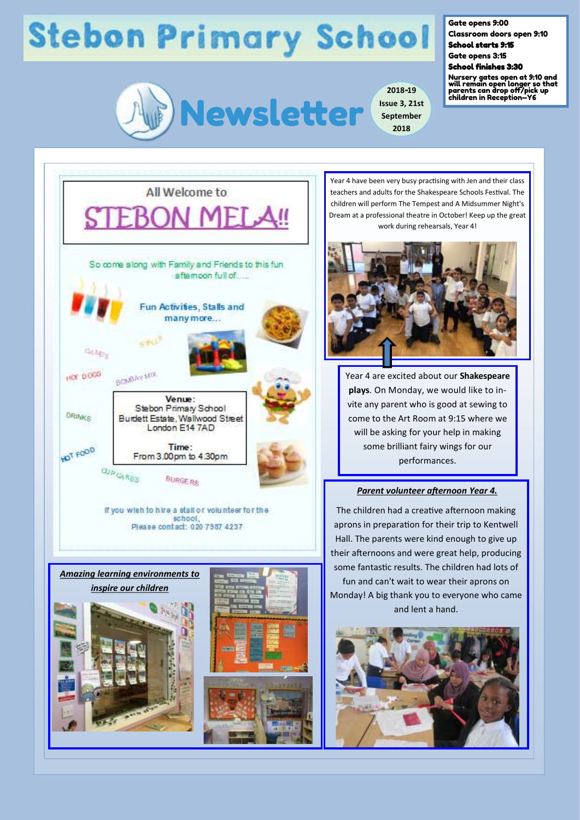## **Stebon Primary School**



**2018-19 Issue 3, 21st September 2018**

Gate opens 9:00

Classroom doors open 9:10 School starts 9:15

Gate opens 3:15

School finishes 3:30

Nursery gates open at 9:10 and will remain open longer so that parents can drop off/pick up children in Reception—Y6



Year 4 have been very busy practising with Jen and their class teachers and adults for the Shakespeare Schools Festival. The children will perform The Tempest and A Midsummer Night's Dream at a professional theatre in October! Keep up the great work during rehearsals, Year 4!



Year 4 are excited about our **Shakespeare plays**. On Monday, we would like to invite any parent who is good at sewing to come to the Art Room at 9:15 where we will be asking for your help in making some brilliant fairy wings for our performances.

#### *Parent volunteer afternoon Year 4.*

The children had a creative afternoon making aprons in preparation for their trip to Kentwell Hall. The parents were kind enough to give up their afternoons and were great help, producing some fantastic results. The children had lots of fun and can't wait to wear their aprons on Monday! A big thank you to everyone who came and lent a hand.